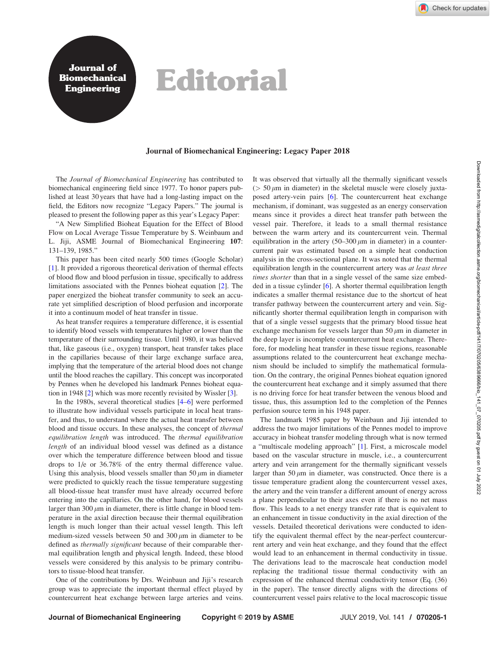Journal of **Biomechanical** 

## Bournal of **Editorial**

## Journal of Biomechanical Engineering: Legacy Paper 2018

The Journal of Biomechanical Engineering has contributed to biomechanical engineering field since 1977. To honor papers published at least 30 years that have had a long-lasting impact on the field, the Editors now recognize "Legacy Papers." The journal is pleased to present the following paper as this year's Legacy Paper:

"A New Simplified Bioheat Equation for the Effect of Blood Flow on Local Average Tissue Temperature by S. Weinbaum and L. Jiji, ASME Journal of Biomechanical Engineering 107: 131–139, 1985."

This paper has been cited nearly 500 times (Google Scholar) [[1\]](#page-1-0). It provided a rigorous theoretical derivation of thermal effects of blood flow and blood perfusion in tissue, specifically to address limitations associated with the Pennes bioheat equation [[2](#page-1-0)]. The paper energized the bioheat transfer community to seek an accurate yet simplified description of blood perfusion and incorporate it into a continuum model of heat transfer in tissue.

As heat transfer requires a temperature difference, it is essential to identify blood vessels with temperatures higher or lower than the temperature of their surrounding tissue. Until 1980, it was believed that, like gaseous (i.e., oxygen) transport, heat transfer takes place in the capillaries because of their large exchange surface area, implying that the temperature of the arterial blood does not change until the blood reaches the capillary. This concept was incorporated by Pennes when he developed his landmark Pennes bioheat equation in 1948 [[2](#page-1-0)] which was more recently revisited by Wissler [[3](#page-1-0)].

In the 1980s, several theoretical studies [\[4–6\]](#page-1-0) were performed to illustrate how individual vessels participate in local heat transfer, and thus, to understand where the actual heat transfer between blood and tissue occurs. In these analyses, the concept of thermal equilibration length was introduced. The thermal equilibration length of an individual blood vessel was defined as a distance over which the temperature difference between blood and tissue drops to 1/e or 36.78% of the entry thermal difference value. Using this analysis, blood vessels smaller than  $50 \mu m$  in diameter were predicted to quickly reach the tissue temperature suggesting all blood-tissue heat transfer must have already occurred before entering into the capillaries. On the other hand, for blood vessels larger than 300  $\mu$ m in diameter, there is little change in blood temperature in the axial direction because their thermal equilibration length is much longer than their actual vessel length. This left medium-sized vessels between 50 and 300  $\mu$ m in diameter to be defined as thermally significant because of their comparable thermal equilibration length and physical length. Indeed, these blood vessels were considered by this analysis to be primary contributors to tissue-blood heat transfer.

One of the contributions by Drs. Weinbaun and Jiji's research group was to appreciate the important thermal effect played by countercurrent heat exchange between large arteries and veins. It was observed that virtually all the thermally significant vessels  $($  > 50  $\mu$ m in diameter) in the skeletal muscle were closely juxtaposed artery-vein pairs [\[6\]](#page-1-0). The countercurrent heat exchange mechanism, if dominant, was suggested as an energy conservation means since it provides a direct heat transfer path between the vessel pair. Therefore, it leads to a small thermal resistance between the warm artery and its countercurrent vein. Thermal equilibration in the artery  $(50-300 \mu m)$  in diameter) in a countercurrent pair was estimated based on a simple heat conduction analysis in the cross-sectional plane. It was noted that the thermal equilibration length in the countercurrent artery was at least three times shorter than that in a single vessel of the same size embedded in a tissue cylinder [[6](#page-1-0)]. A shorter thermal equilibration length indicates a smaller thermal resistance due to the shortcut of heat transfer pathway between the countercurrent artery and vein. Significantly shorter thermal equilibration length in comparison with that of a single vessel suggests that the primary blood tissue heat exchange mechanism for vessels larger than 50  $\mu$ m in diameter in the deep layer is incomplete countercurrent heat exchange. Therefore, for modeling heat transfer in these tissue regions, reasonable assumptions related to the countercurrent heat exchange mechanism should be included to simplify the mathematical formulation. On the contrary, the original Pennes bioheat equation ignored the countercurrent heat exchange and it simply assumed that there is no driving force for heat transfer between the venous blood and tissue, thus, this assumption led to the completion of the Pennes perfusion source term in his 1948 paper.

The landmark 1985 paper by Weinbaun and Jiji intended to address the two major limitations of the Pennes model to improve accuracy in bioheat transfer modeling through what is now termed a "multiscale modeling approach" [[1](#page-1-0)]. First, a microscale model based on the vascular structure in muscle, i.e., a countercurrent artery and vein arrangement for the thermally significant vessels larger than  $50 \mu m$  in diameter, was constructed. Once there is a tissue temperature gradient along the countercurrent vessel axes, the artery and the vein transfer a different amount of energy across a plane perpendicular to their axes even if there is no net mass flow. This leads to a net energy transfer rate that is equivalent to an enhancement in tissue conductivity in the axial direction of the vessels. Detailed theoretical derivations were conducted to identify the equivalent thermal effect by the near-perfect countercurrent artery and vein heat exchange, and they found that the effect would lead to an enhancement in thermal conductivity in tissue. The derivations lead to the macroscale heat conduction model replacing the traditional tissue thermal conductivity with an expression of the enhanced thermal conductivity tensor (Eq. (36) in the paper). The tensor directly aligns with the directions of countercurrent vessel pairs relative to the local macroscopic tissue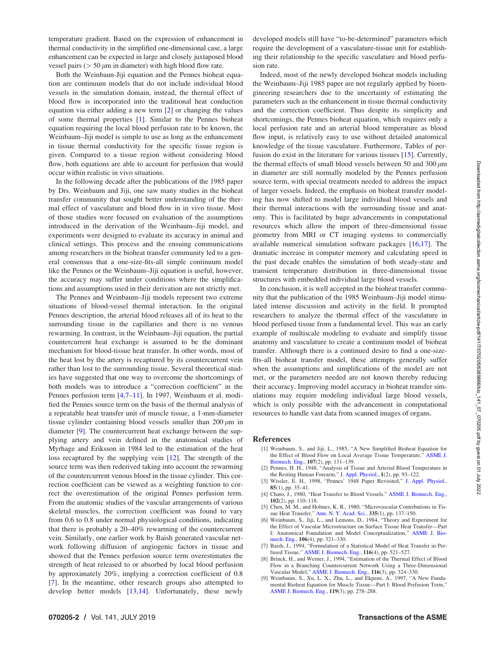<span id="page-1-0"></span>temperature gradient. Based on the expression of enhancement in thermal conductivity in the simplified one-dimensional case, a large enhancement can be expected in large and closely juxtaposed blood vessel pairs ( $> 50 \mu m$  in diameter) with high blood flow rate.

Both the Weinbaun-Jiji equation and the Pennes bioheat equation are continuum models that do not include individual blood vessels in the simulation domain, instead, the thermal effect of blood flow is incorporated into the traditional heat conduction equation via either adding a new term [2] or changing the values of some thermal properties [1]. Similar to the Pennes bioheat equation requiring the local blood perfusion rate to be known, the Weinbaum–Jiji model is simple to use as long as the enhancement in tissue thermal conductivity for the specific tissue region is given. Compared to a tissue region without considering blood flow, both equations are able to account for perfusion that would occur within realistic in vivo situations.

In the following decade after the publications of the 1985 paper by Drs. Weinbaum and Jiji, one saw many studies in the bioheat transfer community that sought better understanding of the thermal effect of vasculature and blood flow in in vivo tissue. Most of those studies were focused on evaluation of the assumptions introduced in the derivation of the Weinbaum–Jiji model, and experiments were designed to evaluate its accuracy in animal and clinical settings. This process and the ensuing communications among researchers in the bioheat transfer community led to a general consensus that a one-size-fits-all simple continuum model like the Pennes or the Weinbaum–Jiji equation is useful, however, the accuracy may suffer under conditions where the simplifications and assumptions used in their derivation are not strictly met.

The Pennes and Weinbaum–Jiji models represent two extreme situations of blood-vessel thermal interaction. In the original Pennes description, the arterial blood releases all of its heat to the surrounding tissue in the capillaries and there is no venous rewarming. In contrast, in the Weinbaum–Jiji equation, the partial countercurrent heat exchange is assumed to be the dominant mechanism for blood-tissue heat transfer. In other words, most of the heat lost by the artery is recaptured by its countercurrent vein rather than lost to the surrounding tissue. Several theoretical studies have suggested that one way to overcome the shortcomings of both models was to introduce a "correction coefficient" in the Pennes perfusion term [4,7–[11\]](#page-2-0). In 1997, Weinbaum et al. modified the Pennes source term on the basis of the thermal analysis of a repeatable heat transfer unit of muscle tissue, a 1-mm-diameter tissue cylinder containing blood vessels smaller than  $200 \mu m$  in diameter [9]. The countercurrent heat exchange between the supplying artery and vein defined in the anatomical studies of Myrhage and Eriksson in 1984 led to the estimation of the heat loss recaptured by the supplying vein [[12\]](#page-2-0). The strength of the source term was then rederived taking into account the rewarming of the countercurrent venous blood in the tissue cylinder. This correction coefficient can be viewed as a weighting function to correct the overestimation of the original Pennes perfusion term. From the anatomic studies of the vascular arrangements of various skeletal muscles, the correction coefficient was found to vary from 0.6 to 0.8 under normal physiological conditions, indicating that there is probably a 20–40% rewarming of the countercurrent vein. Similarly, one earlier work by Baish generated vascular network following diffusion of angiogenic factors in tissue and showed that the Pennes perfusion source term overestimates the strength of heat released to or absorbed by local blood perfusion by approximately 20%, implying a correction coefficient of 0.8 [7]. In the meantime, other research groups also attempted to develop better models [[13,14\]](#page-2-0). Unfortunately, these newly

developed models still have "to-be-determined" parameters which require the development of a vasculature-tissue unit for establishing their relationship to the specific vasculature and blood perfusion rate.

Indeed, most of the newly developed bioheat models including the Weinbaum–Jiji 1985 paper are not regularly applied by bioengineering researchers due to the uncertainty of estimating the parameters such as the enhancement in tissue thermal conductivity and the correction coefficient. Thus despite its simplicity and shortcomings, the Pennes bioheat equation, which requires only a local perfusion rate and an arterial blood temperature as blood flow input, is relatively easy to use without detailed anatomical knowledge of the tissue vasculature. Furthermore, Tables of perfusion do exist in the literature for various tissues [\[15](#page-2-0)]. Currently, the thermal effects of small blood vessels between 50 and 300  $\mu$ m in diameter are still normally modeled by the Pennes perfusion source term, with special treatments needed to address the impact of larger vessels. Indeed, the emphasis on bioheat transfer modeling has now shifted to model large individual blood vessels and their thermal interactions with the surrounding tissue and anatomy. This is facilitated by huge advancements in computational resources which allow the import of three-dimensional tissue geometry from MRI or CT imaging systems to commercially available numerical simulation software packages [\[16,17](#page-2-0)]. The dramatic increase in computer memory and calculating speed in the past decade enables the simulation of both steady-state and transient temperature distribution in three-dimensional tissue structures with embedded individual large blood vessels.

In conclusion, it is well accepted in the bioheat transfer community that the publication of the 1985 Weinbaum–Jiji model stimulated intense discussion and activity in the field. It prompted researchers to analyze the thermal effect of the vasculature in blood perfused tissue from a fundamental level. This was an early example of multiscale modeling to evaluate and simplify tissue anatomy and vasculature to create a continuum model of bioheat transfer. Although there is a continued desire to find a one-sizefits-all bioheat transfer model, these attempts generally suffer when the assumptions and simplifications of the model are not met, or the parameters needed are not known thereby reducing their accuracy. Improving model accuracy in bioheat transfer simulations may require modeling individual large blood vessels, which is only possible with the advancement in computational resources to handle vast data from scanned images of organs.

## References

- [1] Weinbaum, S., and Jiji, L., 1985, "A New Simplified Bioheat Equation for the Effect of Blood Flow on Local Average Tissue Temperature," [ASME J.](http://dx.doi.org/10.1115/1.3138533) [Biomech. Eng.,](http://dx.doi.org/10.1115/1.3138533) 107(2), pp. 131–139.
- [2] Pennes, H. H., 1948, "Analysis of Tissue and Arterial Blood Temperature in the Resting Human Forearm," [J. Appl. Physiol.,](http://dx.doi.org/10.1152/jappl.1948.1.2.93) 1(2), pp. 93–122.
- [3] Wissler, E. H., 1998, "Pennes' 1948 Paper Revisited," [J. Appl. Physiol.](http://dx.doi.org/10.1152/jappl.1998.85.1.35), 85(1), pp. 35–41.
- [4] Chato, J., 1980, "Heat Transfer to Blood Vessels," [ASME J. Biomech. Eng.](http://dx.doi.org/10.1115/1.3138205), 102(2), pp. 110–118.
- [5] Chen, M. M., and Holmes, K. R., 1980, "Microvascular Contributions in Tissue Heat Transfer," [Ann. N. Y. Acad. Sci.](http://dx.doi.org/10.1111/j.1749-6632.1980.tb50742.x), 335(1), pp. 137–150.
- [6] Weinbaum, S., Jiji, L., and Lemons, D., 1984, "Theory and Experiment for the Effect of Vascular Microstructure on Surface Tissue Heat Transfer—Part I: Anatomical Foundation and Model Conceptualization," [ASME J. Bio](http://dx.doi.org/10.1115/1.3138501)[mech. Eng.,](http://dx.doi.org/10.1115/1.3138501) 106(4), pp. 321–330.
- [7] Baish, J., 1994, "Formulation of a Statistical Model of Heat Transfer in Per-fused Tissue," [ASME J. Biomech. Eng.,](http://dx.doi.org/10.1115/1.2895804) 116(4), pp. 521-527
- [8] Brinck, H., and Werner, J., 1994, "Estimation of the Thermal Effect of Blood Flow in a Branching Countercurrent Network Using a Three-Dimensional Vascular Model," [ASME J. Biomech. Eng.,](http://dx.doi.org/10.1115/1.2895738) 116(3), pp. 324–330.
- [9] Weinbaum, S., Xu, L. X., Zhu, L., and Ekpene, A., 1997, "A New Fundamental Bioheat Equation for Muscle Tissue-Part I: Blood Perfusion Term,' [ASME J. Biomech. Eng.](http://dx.doi.org/10.1115/1.2796092), 119(3), pp. 278–288.